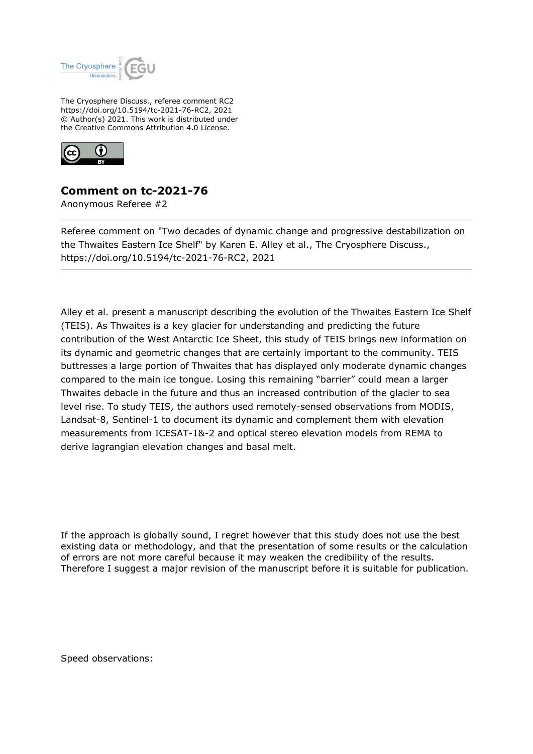

The Cryosphere Discuss., referee comment RC2 https://doi.org/10.5194/tc-2021-76-RC2, 2021 © Author(s) 2021. This work is distributed under the Creative Commons Attribution 4.0 License.



## **Comment on tc-2021-76**

Anonymous Referee #2

Referee comment on "Two decades of dynamic change and progressive destabilization on the Thwaites Eastern Ice Shelf" by Karen E. Alley et al., The Cryosphere Discuss., https://doi.org/10.5194/tc-2021-76-RC2, 2021

Alley et al. present a manuscript describing the evolution of the Thwaites Eastern Ice Shelf (TEIS). As Thwaites is a key glacier for understanding and predicting the future contribution of the West Antarctic Ice Sheet, this study of TEIS brings new information on its dynamic and geometric changes that are certainly important to the community. TEIS buttresses a large portion of Thwaites that has displayed only moderate dynamic changes compared to the main ice tongue. Losing this remaining "barrier" could mean a larger Thwaites debacle in the future and thus an increased contribution of the glacier to sea level rise. To study TEIS, the authors used remotely-sensed observations from MODIS, Landsat-8, Sentinel-1 to document its dynamic and complement them with elevation measurements from ICESAT-1&-2 and optical stereo elevation models from REMA to derive lagrangian elevation changes and basal melt.

If the approach is globally sound, I regret however that this study does not use the best existing data or methodology, and that the presentation of some results or the calculation of errors are not more careful because it may weaken the credibility of the results. Therefore I suggest a major revision of the manuscript before it is suitable for publication.

Speed observations: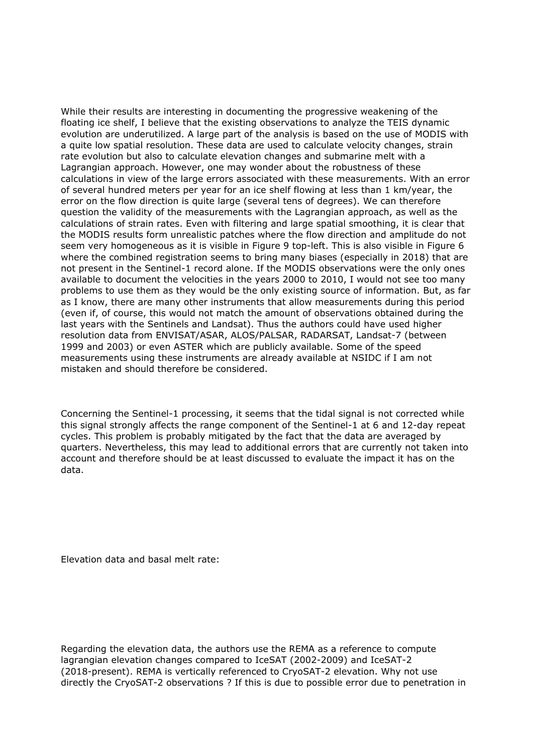While their results are interesting in documenting the progressive weakening of the floating ice shelf, I believe that the existing observations to analyze the TEIS dynamic evolution are underutilized. A large part of the analysis is based on the use of MODIS with a quite low spatial resolution. These data are used to calculate velocity changes, strain rate evolution but also to calculate elevation changes and submarine melt with a Lagrangian approach. However, one may wonder about the robustness of these calculations in view of the large errors associated with these measurements. With an error of several hundred meters per year for an ice shelf flowing at less than 1 km/year, the error on the flow direction is quite large (several tens of degrees). We can therefore question the validity of the measurements with the Lagrangian approach, as well as the calculations of strain rates. Even with filtering and large spatial smoothing, it is clear that the MODIS results form unrealistic patches where the flow direction and amplitude do not seem very homogeneous as it is visible in Figure 9 top-left. This is also visible in Figure 6 where the combined registration seems to bring many biases (especially in 2018) that are not present in the Sentinel-1 record alone. If the MODIS observations were the only ones available to document the velocities in the years 2000 to 2010, I would not see too many problems to use them as they would be the only existing source of information. But, as far as I know, there are many other instruments that allow measurements during this period (even if, of course, this would not match the amount of observations obtained during the last years with the Sentinels and Landsat). Thus the authors could have used higher resolution data from ENVISAT/ASAR, ALOS/PALSAR, RADARSAT, Landsat-7 (between 1999 and 2003) or even ASTER which are publicly available. Some of the speed measurements using these instruments are already available at NSIDC if I am not mistaken and should therefore be considered.

Concerning the Sentinel-1 processing, it seems that the tidal signal is not corrected while this signal strongly affects the range component of the Sentinel-1 at 6 and 12-day repeat cycles. This problem is probably mitigated by the fact that the data are averaged by quarters. Nevertheless, this may lead to additional errors that are currently not taken into account and therefore should be at least discussed to evaluate the impact it has on the data.

Elevation data and basal melt rate:

Regarding the elevation data, the authors use the REMA as a reference to compute lagrangian elevation changes compared to IceSAT (2002-2009) and IceSAT-2 (2018-present). REMA is vertically referenced to CryoSAT-2 elevation. Why not use directly the CryoSAT-2 observations ? If this is due to possible error due to penetration in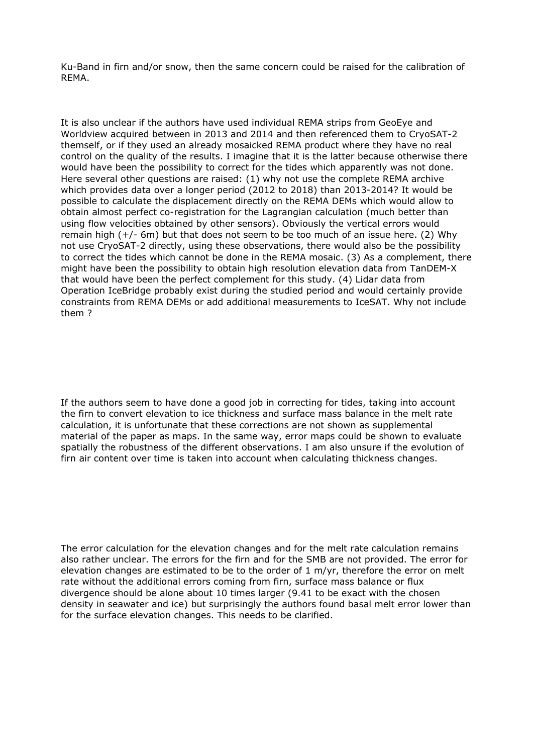Ku-Band in firn and/or snow, then the same concern could be raised for the calibration of REMA.

It is also unclear if the authors have used individual REMA strips from GeoEye and Worldview acquired between in 2013 and 2014 and then referenced them to CryoSAT-2 themself, or if they used an already mosaicked REMA product where they have no real control on the quality of the results. I imagine that it is the latter because otherwise there would have been the possibility to correct for the tides which apparently was not done. Here several other questions are raised: (1) why not use the complete REMA archive which provides data over a longer period (2012 to 2018) than 2013-2014? It would be possible to calculate the displacement directly on the REMA DEMs which would allow to obtain almost perfect co-registration for the Lagrangian calculation (much better than using flow velocities obtained by other sensors). Obviously the vertical errors would remain high (+/- 6m) but that does not seem to be too much of an issue here. (2) Why not use CryoSAT-2 directly, using these observations, there would also be the possibility to correct the tides which cannot be done in the REMA mosaic. (3) As a complement, there might have been the possibility to obtain high resolution elevation data from TanDEM-X that would have been the perfect complement for this study. (4) Lidar data from Operation IceBridge probably exist during the studied period and would certainly provide constraints from REMA DEMs or add additional measurements to IceSAT. Why not include them ?

If the authors seem to have done a good job in correcting for tides, taking into account the firn to convert elevation to ice thickness and surface mass balance in the melt rate calculation, it is unfortunate that these corrections are not shown as supplemental material of the paper as maps. In the same way, error maps could be shown to evaluate spatially the robustness of the different observations. I am also unsure if the evolution of firn air content over time is taken into account when calculating thickness changes.

The error calculation for the elevation changes and for the melt rate calculation remains also rather unclear. The errors for the firn and for the SMB are not provided. The error for elevation changes are estimated to be to the order of  $1 \text{ m/yr}$ , therefore the error on melt rate without the additional errors coming from firn, surface mass balance or flux divergence should be alone about 10 times larger (9.41 to be exact with the chosen density in seawater and ice) but surprisingly the authors found basal melt error lower than for the surface elevation changes. This needs to be clarified.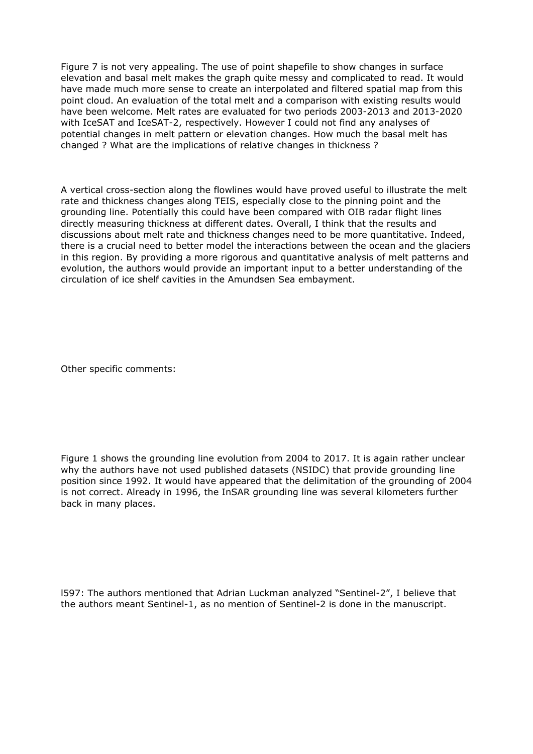Figure 7 is not very appealing. The use of point shapefile to show changes in surface elevation and basal melt makes the graph quite messy and complicated to read. It would have made much more sense to create an interpolated and filtered spatial map from this point cloud. An evaluation of the total melt and a comparison with existing results would have been welcome. Melt rates are evaluated for two periods 2003-2013 and 2013-2020 with IceSAT and IceSAT-2, respectively. However I could not find any analyses of potential changes in melt pattern or elevation changes. How much the basal melt has changed ? What are the implications of relative changes in thickness ?

A vertical cross-section along the flowlines would have proved useful to illustrate the melt rate and thickness changes along TEIS, especially close to the pinning point and the grounding line. Potentially this could have been compared with OIB radar flight lines directly measuring thickness at different dates. Overall, I think that the results and discussions about melt rate and thickness changes need to be more quantitative. Indeed, there is a crucial need to better model the interactions between the ocean and the glaciers in this region. By providing a more rigorous and quantitative analysis of melt patterns and evolution, the authors would provide an important input to a better understanding of the circulation of ice shelf cavities in the Amundsen Sea embayment.

Other specific comments:

Figure 1 shows the grounding line evolution from 2004 to 2017. It is again rather unclear why the authors have not used published datasets (NSIDC) that provide grounding line position since 1992. It would have appeared that the delimitation of the grounding of 2004 is not correct. Already in 1996, the InSAR grounding line was several kilometers further back in many places.

l597: The authors mentioned that Adrian Luckman analyzed "Sentinel-2", I believe that the authors meant Sentinel-1, as no mention of Sentinel-2 is done in the manuscript.